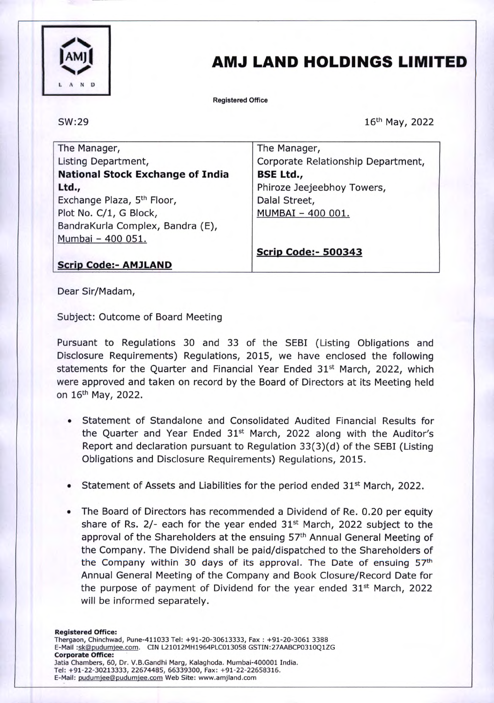

## AMJ LAND HOLDINGS LIMITED

Registered Office

SW:29

16th May, 2022

The Manager, Listing Department, National Stock Exchange of India Ltd., Exchange Plaza, 5<sup>th</sup> Floor, Plot No. C/1, G Block, BandraKurla Complex, Bandra (E), Mumbai - 400 051.

The Manager, Corporate Relationship Department, BSE Ltd., Phiroze Jeejeebhoy Towers, Dalai Street, MUMBAI - 400 001.

Scrip Code:- 500343

Scrip Code:- AMJLAND

Dear Sir/Madam,

Subject: Outcome of Board Meeting

Pursuant to Regulations 30 and 33 of the SEBI (Listing Obligations and Disclosure Requirements) Regulations, 2015, we have enclosed the following statements for the Quarter and Financial Year Ended  $31<sup>st</sup>$  March, 2022, which were approved and taken on record by the Board of Directors at its Meeting held on 16th May, 2022.

- Statement of Standalone and Consolidated Audited Financial Results for the Quarter and Year Ended  $31<sup>st</sup>$  March, 2022 along with the Auditor's Report and declaration pursuant to Regulation 33(3)(d) of the SEBI (Listing Obligations and Disclosure Requirements) Regulations, 2015.
- Statement of Assets and Liabilities for the period ended 31<sup>st</sup> March, 2022.
- The Board of Directors has recommended a Dividend of Re. 0.20 per equity share of Rs.  $2/-$  each for the year ended  $31<sup>st</sup>$  March, 2022 subject to the approval of the Shareholders at the ensuing 57<sup>th</sup> Annual General Meeting of the Company. The Dividend shall be paid/dispatched to the Shareholders of the Company within 30 days of its approval. The Date of ensuing 57<sup>th</sup> Annual General Meeting of the Company and Book Closure/Record Date for the purpose of payment of Dividend for the year ended  $31<sup>st</sup>$  March, 2022 will be informed separately.